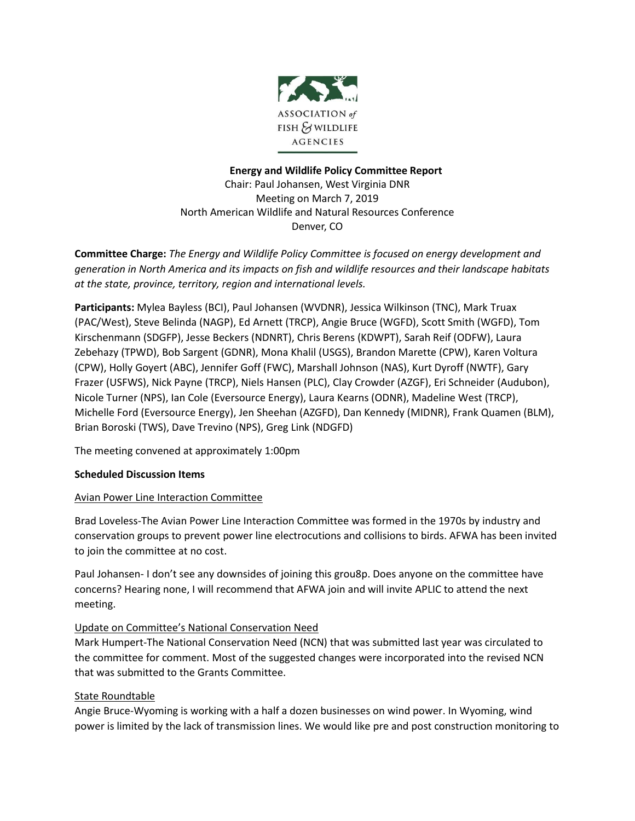

# **Energy and Wildlife Policy Committee Report** Chair: Paul Johansen, West Virginia DNR Meeting on March 7, 2019 North American Wildlife and Natural Resources Conference Denver, CO

**Committee Charge:** *The Energy and Wildlife Policy Committee is focused on energy development and generation in North America and its impacts on fish and wildlife resources and their landscape habitats at the state, province, territory, region and international levels.*

**Participants:** Mylea Bayless (BCI), Paul Johansen (WVDNR), Jessica Wilkinson (TNC), Mark Truax (PAC/West), Steve Belinda (NAGP), Ed Arnett (TRCP), Angie Bruce (WGFD), Scott Smith (WGFD), Tom Kirschenmann (SDGFP), Jesse Beckers (NDNRT), Chris Berens (KDWPT), Sarah Reif (ODFW), Laura Zebehazy (TPWD), Bob Sargent (GDNR), Mona Khalil (USGS), Brandon Marette (CPW), Karen Voltura (CPW), Holly Goyert (ABC), Jennifer Goff (FWC), Marshall Johnson (NAS), Kurt Dyroff (NWTF), Gary Frazer (USFWS), Nick Payne (TRCP), Niels Hansen (PLC), Clay Crowder (AZGF), Eri Schneider (Audubon), Nicole Turner (NPS), Ian Cole (Eversource Energy), Laura Kearns (ODNR), Madeline West (TRCP), Michelle Ford (Eversource Energy), Jen Sheehan (AZGFD), Dan Kennedy (MIDNR), Frank Quamen (BLM), Brian Boroski (TWS), Dave Trevino (NPS), Greg Link (NDGFD)

The meeting convened at approximately 1:00pm

# **Scheduled Discussion Items**

# Avian Power Line Interaction Committee

Brad Loveless-The Avian Power Line Interaction Committee was formed in the 1970s by industry and conservation groups to prevent power line electrocutions and collisions to birds. AFWA has been invited to join the committee at no cost.

Paul Johansen- I don't see any downsides of joining this grou8p. Does anyone on the committee have concerns? Hearing none, I will recommend that AFWA join and will invite APLIC to attend the next meeting.

# Update on Committee's National Conservation Need

Mark Humpert-The National Conservation Need (NCN) that was submitted last year was circulated to the committee for comment. Most of the suggested changes were incorporated into the revised NCN that was submitted to the Grants Committee.

# **State Roundtable**

Angie Bruce-Wyoming is working with a half a dozen businesses on wind power. In Wyoming, wind power is limited by the lack of transmission lines. We would like pre and post construction monitoring to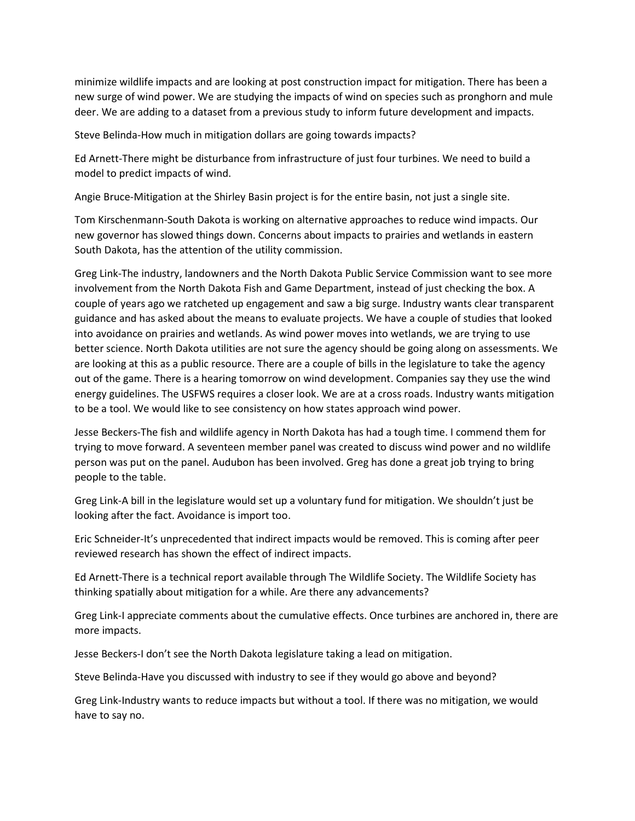minimize wildlife impacts and are looking at post construction impact for mitigation. There has been a new surge of wind power. We are studying the impacts of wind on species such as pronghorn and mule deer. We are adding to a dataset from a previous study to inform future development and impacts.

Steve Belinda-How much in mitigation dollars are going towards impacts?

Ed Arnett-There might be disturbance from infrastructure of just four turbines. We need to build a model to predict impacts of wind.

Angie Bruce-Mitigation at the Shirley Basin project is for the entire basin, not just a single site.

Tom Kirschenmann-South Dakota is working on alternative approaches to reduce wind impacts. Our new governor has slowed things down. Concerns about impacts to prairies and wetlands in eastern South Dakota, has the attention of the utility commission.

Greg Link-The industry, landowners and the North Dakota Public Service Commission want to see more involvement from the North Dakota Fish and Game Department, instead of just checking the box. A couple of years ago we ratcheted up engagement and saw a big surge. Industry wants clear transparent guidance and has asked about the means to evaluate projects. We have a couple of studies that looked into avoidance on prairies and wetlands. As wind power moves into wetlands, we are trying to use better science. North Dakota utilities are not sure the agency should be going along on assessments. We are looking at this as a public resource. There are a couple of bills in the legislature to take the agency out of the game. There is a hearing tomorrow on wind development. Companies say they use the wind energy guidelines. The USFWS requires a closer look. We are at a cross roads. Industry wants mitigation to be a tool. We would like to see consistency on how states approach wind power.

Jesse Beckers-The fish and wildlife agency in North Dakota has had a tough time. I commend them for trying to move forward. A seventeen member panel was created to discuss wind power and no wildlife person was put on the panel. Audubon has been involved. Greg has done a great job trying to bring people to the table.

Greg Link-A bill in the legislature would set up a voluntary fund for mitigation. We shouldn't just be looking after the fact. Avoidance is import too.

Eric Schneider-It's unprecedented that indirect impacts would be removed. This is coming after peer reviewed research has shown the effect of indirect impacts.

Ed Arnett-There is a technical report available through The Wildlife Society. The Wildlife Society has thinking spatially about mitigation for a while. Are there any advancements?

Greg Link-I appreciate comments about the cumulative effects. Once turbines are anchored in, there are more impacts.

Jesse Beckers-I don't see the North Dakota legislature taking a lead on mitigation.

Steve Belinda-Have you discussed with industry to see if they would go above and beyond?

Greg Link-Industry wants to reduce impacts but without a tool. If there was no mitigation, we would have to say no.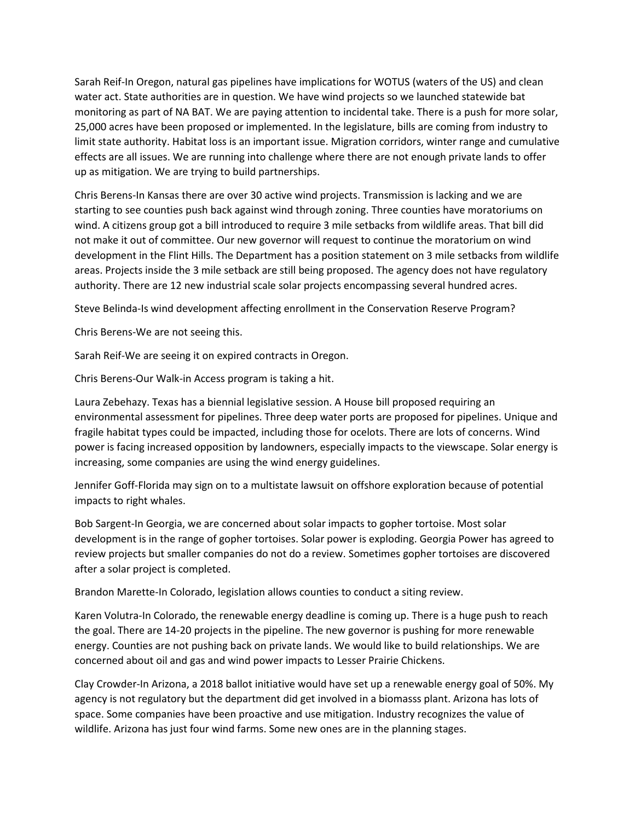Sarah Reif-In Oregon, natural gas pipelines have implications for WOTUS (waters of the US) and clean water act. State authorities are in question. We have wind projects so we launched statewide bat monitoring as part of NA BAT. We are paying attention to incidental take. There is a push for more solar, 25,000 acres have been proposed or implemented. In the legislature, bills are coming from industry to limit state authority. Habitat loss is an important issue. Migration corridors, winter range and cumulative effects are all issues. We are running into challenge where there are not enough private lands to offer up as mitigation. We are trying to build partnerships.

Chris Berens-In Kansas there are over 30 active wind projects. Transmission is lacking and we are starting to see counties push back against wind through zoning. Three counties have moratoriums on wind. A citizens group got a bill introduced to require 3 mile setbacks from wildlife areas. That bill did not make it out of committee. Our new governor will request to continue the moratorium on wind development in the Flint Hills. The Department has a position statement on 3 mile setbacks from wildlife areas. Projects inside the 3 mile setback are still being proposed. The agency does not have regulatory authority. There are 12 new industrial scale solar projects encompassing several hundred acres.

Steve Belinda-Is wind development affecting enrollment in the Conservation Reserve Program?

Chris Berens-We are not seeing this.

Sarah Reif-We are seeing it on expired contracts in Oregon.

Chris Berens-Our Walk-in Access program is taking a hit.

Laura Zebehazy. Texas has a biennial legislative session. A House bill proposed requiring an environmental assessment for pipelines. Three deep water ports are proposed for pipelines. Unique and fragile habitat types could be impacted, including those for ocelots. There are lots of concerns. Wind power is facing increased opposition by landowners, especially impacts to the viewscape. Solar energy is increasing, some companies are using the wind energy guidelines.

Jennifer Goff-Florida may sign on to a multistate lawsuit on offshore exploration because of potential impacts to right whales.

Bob Sargent-In Georgia, we are concerned about solar impacts to gopher tortoise. Most solar development is in the range of gopher tortoises. Solar power is exploding. Georgia Power has agreed to review projects but smaller companies do not do a review. Sometimes gopher tortoises are discovered after a solar project is completed.

Brandon Marette-In Colorado, legislation allows counties to conduct a siting review.

Karen Volutra-In Colorado, the renewable energy deadline is coming up. There is a huge push to reach the goal. There are 14-20 projects in the pipeline. The new governor is pushing for more renewable energy. Counties are not pushing back on private lands. We would like to build relationships. We are concerned about oil and gas and wind power impacts to Lesser Prairie Chickens.

Clay Crowder-In Arizona, a 2018 ballot initiative would have set up a renewable energy goal of 50%. My agency is not regulatory but the department did get involved in a biomasss plant. Arizona has lots of space. Some companies have been proactive and use mitigation. Industry recognizes the value of wildlife. Arizona has just four wind farms. Some new ones are in the planning stages.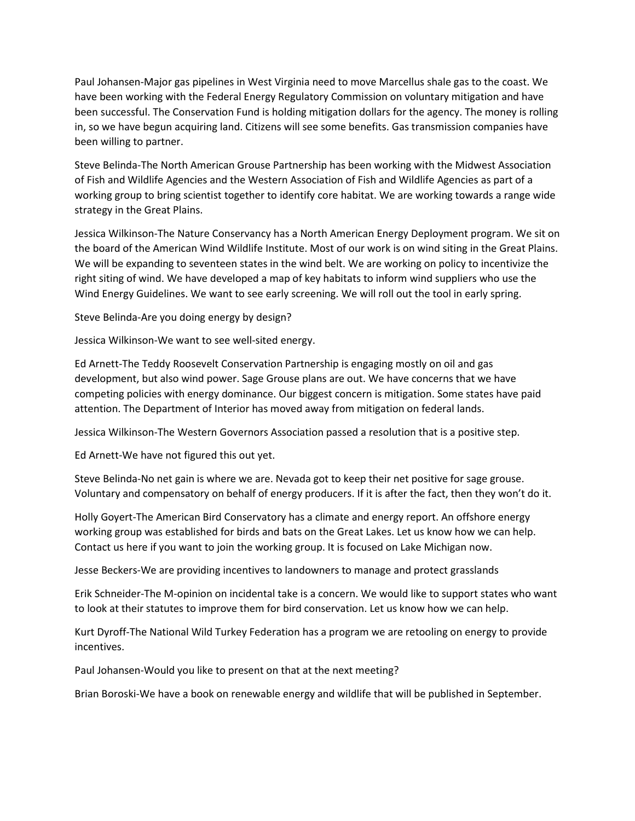Paul Johansen-Major gas pipelines in West Virginia need to move Marcellus shale gas to the coast. We have been working with the Federal Energy Regulatory Commission on voluntary mitigation and have been successful. The Conservation Fund is holding mitigation dollars for the agency. The money is rolling in, so we have begun acquiring land. Citizens will see some benefits. Gas transmission companies have been willing to partner.

Steve Belinda-The North American Grouse Partnership has been working with the Midwest Association of Fish and Wildlife Agencies and the Western Association of Fish and Wildlife Agencies as part of a working group to bring scientist together to identify core habitat. We are working towards a range wide strategy in the Great Plains.

Jessica Wilkinson-The Nature Conservancy has a North American Energy Deployment program. We sit on the board of the American Wind Wildlife Institute. Most of our work is on wind siting in the Great Plains. We will be expanding to seventeen states in the wind belt. We are working on policy to incentivize the right siting of wind. We have developed a map of key habitats to inform wind suppliers who use the Wind Energy Guidelines. We want to see early screening. We will roll out the tool in early spring.

Steve Belinda-Are you doing energy by design?

Jessica Wilkinson-We want to see well-sited energy.

Ed Arnett-The Teddy Roosevelt Conservation Partnership is engaging mostly on oil and gas development, but also wind power. Sage Grouse plans are out. We have concerns that we have competing policies with energy dominance. Our biggest concern is mitigation. Some states have paid attention. The Department of Interior has moved away from mitigation on federal lands.

Jessica Wilkinson-The Western Governors Association passed a resolution that is a positive step.

Ed Arnett-We have not figured this out yet.

Steve Belinda-No net gain is where we are. Nevada got to keep their net positive for sage grouse. Voluntary and compensatory on behalf of energy producers. If it is after the fact, then they won't do it.

Holly Goyert-The American Bird Conservatory has a climate and energy report. An offshore energy working group was established for birds and bats on the Great Lakes. Let us know how we can help. Contact us here if you want to join the working group. It is focused on Lake Michigan now.

Jesse Beckers-We are providing incentives to landowners to manage and protect grasslands

Erik Schneider-The M-opinion on incidental take is a concern. We would like to support states who want to look at their statutes to improve them for bird conservation. Let us know how we can help.

Kurt Dyroff-The National Wild Turkey Federation has a program we are retooling on energy to provide incentives.

Paul Johansen-Would you like to present on that at the next meeting?

Brian Boroski-We have a book on renewable energy and wildlife that will be published in September.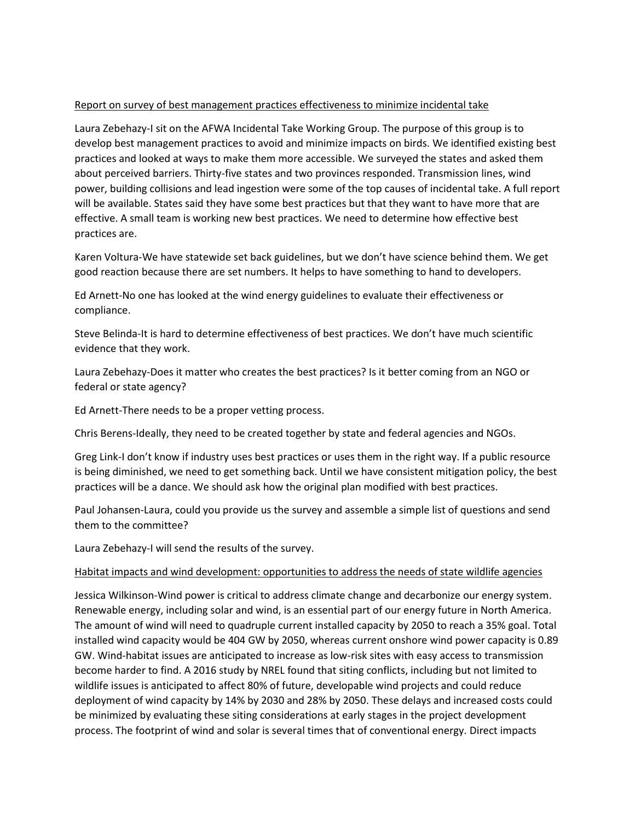### Report on survey of best management practices effectiveness to minimize incidental take

Laura Zebehazy-I sit on the AFWA Incidental Take Working Group. The purpose of this group is to develop best management practices to avoid and minimize impacts on birds. We identified existing best practices and looked at ways to make them more accessible. We surveyed the states and asked them about perceived barriers. Thirty-five states and two provinces responded. Transmission lines, wind power, building collisions and lead ingestion were some of the top causes of incidental take. A full report will be available. States said they have some best practices but that they want to have more that are effective. A small team is working new best practices. We need to determine how effective best practices are.

Karen Voltura-We have statewide set back guidelines, but we don't have science behind them. We get good reaction because there are set numbers. It helps to have something to hand to developers.

Ed Arnett-No one has looked at the wind energy guidelines to evaluate their effectiveness or compliance.

Steve Belinda-It is hard to determine effectiveness of best practices. We don't have much scientific evidence that they work.

Laura Zebehazy-Does it matter who creates the best practices? Is it better coming from an NGO or federal or state agency?

Ed Arnett-There needs to be a proper vetting process.

Chris Berens-Ideally, they need to be created together by state and federal agencies and NGOs.

Greg Link-I don't know if industry uses best practices or uses them in the right way. If a public resource is being diminished, we need to get something back. Until we have consistent mitigation policy, the best practices will be a dance. We should ask how the original plan modified with best practices.

Paul Johansen-Laura, could you provide us the survey and assemble a simple list of questions and send them to the committee?

Laura Zebehazy-I will send the results of the survey.

#### Habitat impacts and wind development: opportunities to address the needs of state wildlife agencies

Jessica Wilkinson-Wind power is critical to address climate change and decarbonize our energy system. Renewable energy, including solar and wind, is an essential part of our energy future in North America. The amount of wind will need to quadruple current installed capacity by 2050 to reach a 35% goal. Total installed wind capacity would be 404 GW by 2050, whereas current onshore wind power capacity is 0.89 GW. Wind-habitat issues are anticipated to increase as low-risk sites with easy access to transmission become harder to find. A 2016 study by NREL found that siting conflicts, including but not limited to wildlife issues is anticipated to affect 80% of future, developable wind projects and could reduce deployment of wind capacity by 14% by 2030 and 28% by 2050. These delays and increased costs could be minimized by evaluating these siting considerations at early stages in the project development process. The footprint of wind and solar is several times that of conventional energy. Direct impacts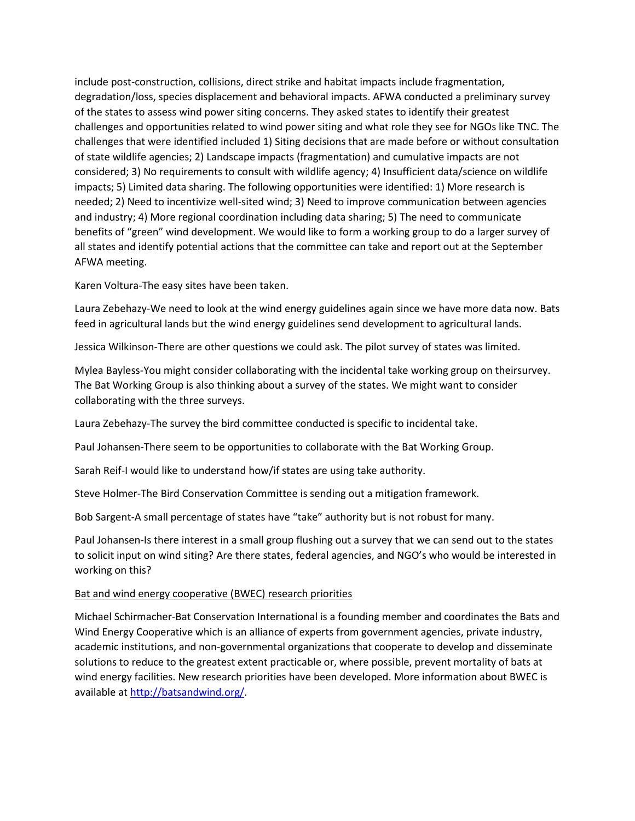include post-construction, collisions, direct strike and habitat impacts include fragmentation, degradation/loss, species displacement and behavioral impacts. AFWA conducted a preliminary survey of the states to assess wind power siting concerns. They asked states to identify their greatest challenges and opportunities related to wind power siting and what role they see for NGOs like TNC. The challenges that were identified included 1) Siting decisions that are made before or without consultation of state wildlife agencies; 2) Landscape impacts (fragmentation) and cumulative impacts are not considered; 3) No requirements to consult with wildlife agency; 4) Insufficient data/science on wildlife impacts; 5) Limited data sharing. The following opportunities were identified: 1) More research is needed; 2) Need to incentivize well-sited wind; 3) Need to improve communication between agencies and industry; 4) More regional coordination including data sharing; 5) The need to communicate benefits of "green" wind development. We would like to form a working group to do a larger survey of all states and identify potential actions that the committee can take and report out at the September AFWA meeting.

Karen Voltura-The easy sites have been taken.

Laura Zebehazy-We need to look at the wind energy guidelines again since we have more data now. Bats feed in agricultural lands but the wind energy guidelines send development to agricultural lands.

Jessica Wilkinson-There are other questions we could ask. The pilot survey of states was limited.

Mylea Bayless-You might consider collaborating with the incidental take working group on theirsurvey. The Bat Working Group is also thinking about a survey of the states. We might want to consider collaborating with the three surveys.

Laura Zebehazy-The survey the bird committee conducted is specific to incidental take.

Paul Johansen-There seem to be opportunities to collaborate with the Bat Working Group.

Sarah Reif-I would like to understand how/if states are using take authority.

Steve Holmer-The Bird Conservation Committee is sending out a mitigation framework.

Bob Sargent-A small percentage of states have "take" authority but is not robust for many.

Paul Johansen-Is there interest in a small group flushing out a survey that we can send out to the states to solicit input on wind siting? Are there states, federal agencies, and NGO's who would be interested in working on this?

#### Bat and wind energy cooperative (BWEC) research priorities

Michael Schirmacher-Bat Conservation International is a founding member and coordinates the Bats and Wind Energy Cooperative which is an alliance of experts from government agencies, private industry, academic institutions, and non-governmental organizations that cooperate to develop and disseminate solutions to reduce to the greatest extent practicable or, where possible, prevent mortality of bats at wind energy facilities. New research priorities have been developed. More information about BWEC is available a[t http://batsandwind.org/.](http://batsandwind.org/)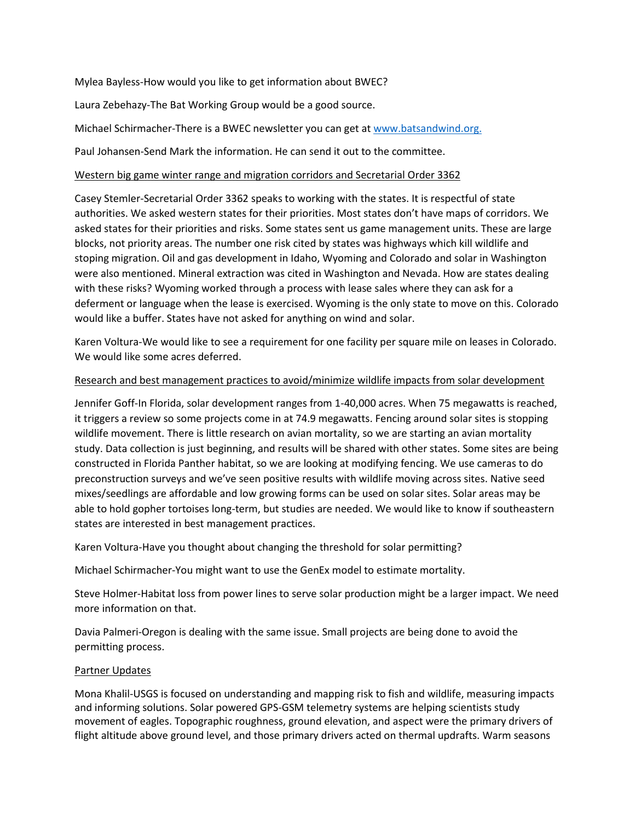Mylea Bayless-How would you like to get information about BWEC?

Laura Zebehazy-The Bat Working Group would be a good source.

Michael Schirmacher-There is a BWEC newsletter you can get at [www.batsandwind.org.](http://www.batsandwind.org/)

Paul Johansen-Send Mark the information. He can send it out to the committee.

### Western big game winter range and migration corridors and Secretarial Order 3362

Casey Stemler-Secretarial Order 3362 speaks to working with the states. It is respectful of state authorities. We asked western states for their priorities. Most states don't have maps of corridors. We asked states for their priorities and risks. Some states sent us game management units. These are large blocks, not priority areas. The number one risk cited by states was highways which kill wildlife and stoping migration. Oil and gas development in Idaho, Wyoming and Colorado and solar in Washington were also mentioned. Mineral extraction was cited in Washington and Nevada. How are states dealing with these risks? Wyoming worked through a process with lease sales where they can ask for a deferment or language when the lease is exercised. Wyoming is the only state to move on this. Colorado would like a buffer. States have not asked for anything on wind and solar.

Karen Voltura-We would like to see a requirement for one facility per square mile on leases in Colorado. We would like some acres deferred.

### Research and best management practices to avoid/minimize wildlife impacts from solar development

Jennifer Goff-In Florida, solar development ranges from 1-40,000 acres. When 75 megawatts is reached, it triggers a review so some projects come in at 74.9 megawatts. Fencing around solar sites is stopping wildlife movement. There is little research on avian mortality, so we are starting an avian mortality study. Data collection is just beginning, and results will be shared with other states. Some sites are being constructed in Florida Panther habitat, so we are looking at modifying fencing. We use cameras to do preconstruction surveys and we've seen positive results with wildlife moving across sites. Native seed mixes/seedlings are affordable and low growing forms can be used on solar sites. Solar areas may be able to hold gopher tortoises long-term, but studies are needed. We would like to know if southeastern states are interested in best management practices.

Karen Voltura-Have you thought about changing the threshold for solar permitting?

Michael Schirmacher-You might want to use the GenEx model to estimate mortality.

Steve Holmer-Habitat loss from power lines to serve solar production might be a larger impact. We need more information on that.

Davia Palmeri-Oregon is dealing with the same issue. Small projects are being done to avoid the permitting process.

## Partner Updates

Mona Khalil-USGS is focused on understanding and mapping risk to fish and wildlife, measuring impacts and informing solutions. Solar powered GPS-GSM telemetry systems are helping scientists study movement of eagles. Topographic roughness, ground elevation, and aspect were the primary drivers of flight altitude above ground level, and those primary drivers acted on thermal updrafts. Warm seasons